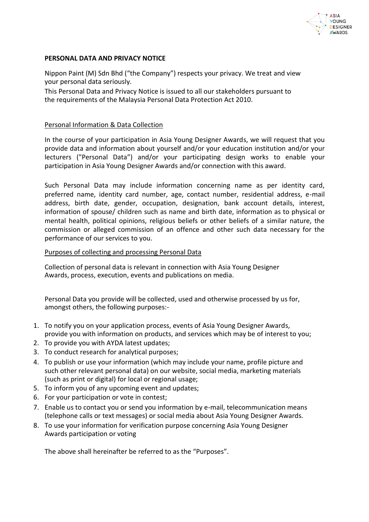

### **PERSONAL DATA AND PRIVACY NOTICE**

Nippon Paint (M) Sdn Bhd ("the Company") respects your privacy. We treat and view your personal data seriously.

This Personal Data and Privacy Notice is issued to all our stakeholders pursuant to the requirements of the Malaysia Personal Data Protection Act 2010.

#### Personal Information & Data Collection

In the course of your participation in Asia Young Designer Awards, we will request that you provide data and information about yourself and/or your education institution and/or your lecturers ("Personal Data") and/or your participating design works to enable your participation in Asia Young Designer Awards and/or connection with this award.

Such Personal Data may include information concerning name as per identity card, preferred name, identity card number, age, contact number, residential address, e-mail address, birth date, gender, occupation, designation, bank account details, interest, information of spouse/ children such as name and birth date, information as to physical or mental health, political opinions, religious beliefs or other beliefs of a similar nature, the commission or alleged commission of an offence and other such data necessary for the performance of our services to you.

### Purposes of collecting and processing Personal Data

Collection of personal data is relevant in connection with Asia Young Designer Awards, process, execution, events and publications on media.

Personal Data you provide will be collected, used and otherwise processed by us for, amongst others, the following purposes:-

- 1. To notify you on your application process, events of Asia Young Designer Awards, provide you with information on products, and services which may be of interest to you;
- 2. To provide you with AYDA latest updates;
- 3. To conduct research for analytical purposes;
- 4. To publish or use your information (which may include your name, profile picture and such other relevant personal data) on our website, social media, marketing materials (such as print or digital) for local or regional usage;
- 5. To inform you of any upcoming event and updates;
- 6. For your participation or vote in contest;
- 7. Enable us to contact you or send you information by e-mail, telecommunication means (telephone calls or text messages) or social media about Asia Young Designer Awards.
- 8. To use your information for verification purpose concerning Asia Young Designer Awards participation or voting

The above shall hereinafter be referred to as the "Purposes".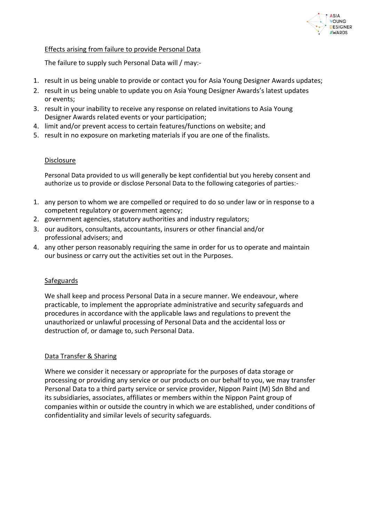

# Effects arising from failure to provide Personal Data

The failure to supply such Personal Data will / may:-

- 1. result in us being unable to provide or contact you for Asia Young Designer Awards updates;
- 2. result in us being unable to update you on Asia Young Designer Awards's latest updates or events;
- 3. result in your inability to receive any response on related invitations to Asia Young Designer Awards related events or your participation;
- 4. limit and/or prevent access to certain features/functions on website; and
- 5. result in no exposure on marketing materials if you are one of the finalists.

## Disclosure

Personal Data provided to us will generally be kept confidential but you hereby consent and authorize us to provide or disclose Personal Data to the following categories of parties:-

- 1. any person to whom we are compelled or required to do so under law or in response to a competent regulatory or government agency;
- 2. government agencies, statutory authorities and industry regulators;
- 3. our auditors, consultants, accountants, insurers or other financial and/or professional advisers; and
- 4. any other person reasonably requiring the same in order for us to operate and maintain our business or carry out the activities set out in the Purposes.

## **Safeguards**

We shall keep and process Personal Data in a secure manner. We endeavour, where practicable, to implement the appropriate administrative and security safeguards and procedures in accordance with the applicable laws and regulations to prevent the unauthorized or unlawful processing of Personal Data and the accidental loss or destruction of, or damage to, such Personal Data.

## Data Transfer & Sharing

Where we consider it necessary or appropriate for the purposes of data storage or processing or providing any service or our products on our behalf to you, we may transfer Personal Data to a third party service or service provider, Nippon Paint (M) Sdn Bhd and its subsidiaries, associates, affiliates or members within the Nippon Paint group of companies within or outside the country in which we are established, under conditions of confidentiality and similar levels of security safeguards.